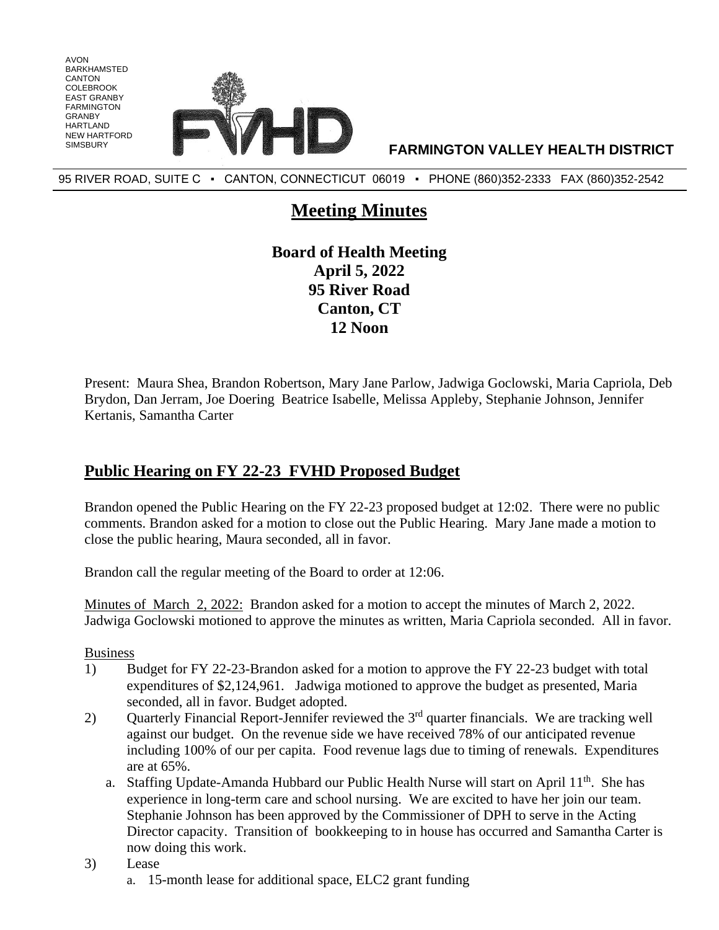

95 RIVER ROAD, SUITE C ▪ CANTON, CONNECTICUT 06019 ▪ PHONE (860)352-2333 FAX (860)352-2542

# **Meeting Minutes**

**Board of Health Meeting April 5, 2022 95 River Road Canton, CT 12 Noon**

Present: Maura Shea, Brandon Robertson, Mary Jane Parlow, Jadwiga Goclowski, Maria Capriola, Deb Brydon, Dan Jerram, Joe Doering Beatrice Isabelle, Melissa Appleby, Stephanie Johnson, Jennifer Kertanis, Samantha Carter

# **Public Hearing on FY 22-23 FVHD Proposed Budget**

Brandon opened the Public Hearing on the FY 22-23 proposed budget at 12:02. There were no public comments. Brandon asked for a motion to close out the Public Hearing. Mary Jane made a motion to close the public hearing, Maura seconded, all in favor.

Brandon call the regular meeting of the Board to order at 12:06.

Minutes of March 2, 2022: Brandon asked for a motion to accept the minutes of March 2, 2022. Jadwiga Goclowski motioned to approve the minutes as written, Maria Capriola seconded. All in favor.

Business

AVON BARKHAMSTED CANTON COLEBROOK EAST GRANBY FARMINGTON GRANBY HARTI AND NEW HARTFORD

- 1) Budget for FY 22-23-Brandon asked for a motion to approve the FY 22-23 budget with total expenditures of \$2,124,961. Jadwiga motioned to approve the budget as presented, Maria seconded, all in favor. Budget adopted.
- 2) Quarterly Financial Report-Jennifer reviewed the 3<sup>rd</sup> quarter financials. We are tracking well against our budget. On the revenue side we have received 78% of our anticipated revenue including 100% of our per capita. Food revenue lags due to timing of renewals. Expenditures are at 65%.
	- a. Staffing Update-Amanda Hubbard our Public Health Nurse will start on April 11<sup>th</sup>. She has experience in long-term care and school nursing. We are excited to have her join our team. Stephanie Johnson has been approved by the Commissioner of DPH to serve in the Acting Director capacity. Transition of bookkeeping to in house has occurred and Samantha Carter is now doing this work.
- 3) Lease
	- a. 15-month lease for additional space, ELC2 grant funding